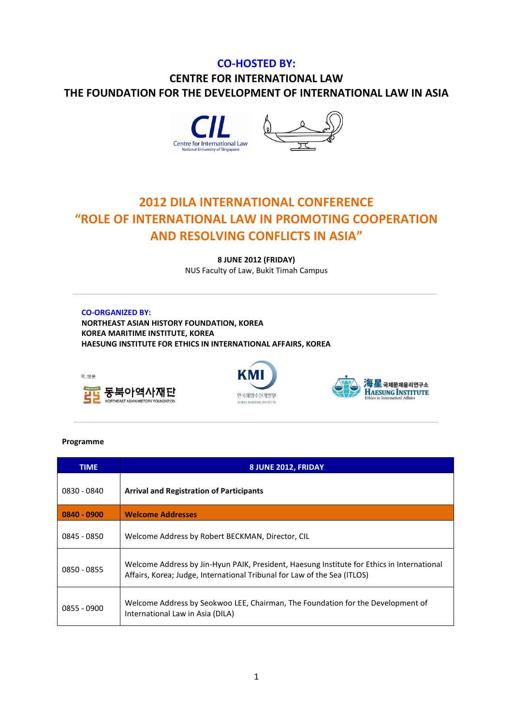## **CO-HOSTED BY: CENTRE FOR INTERNATIONAL LAW THE FOUNDATION FOR THE DEVELOPMENT OF INTERNATIONAL LAW IN ASIA**



## **2012 DILA INTERNATIONAL CONFERENCE "ROLE OF INTERNATIONAL LAW IN PROMOTING COOPERATION AND RESOLVING CONFLICTS IN ASIA"**

**8 JUNE 2012 (FRIDAY)** NUS Faculty of Law, Bukit Timah Campus

## **CO-ORGANIZED BY:**

**NORTHEAST ASIAN HISTORY FOUNDATION, KOREA KOREA MARITIME INSTITUTE, KOREA HAESUNG INSTITUTE FOR ETHICS IN INTERNATIONAL AFFAIRS, KOREA**







## **Programme**

| <b>TIME</b>   | 8 JUNE 2012, FRIDAY                                                                                                                                                    |
|---------------|------------------------------------------------------------------------------------------------------------------------------------------------------------------------|
| 0830 - 0840   | <b>Arrival and Registration of Participants</b>                                                                                                                        |
| $0840 - 0900$ | <b>Welcome Addresses</b>                                                                                                                                               |
| $0845 - 0850$ | Welcome Address by Robert BECKMAN, Director, CIL                                                                                                                       |
| 0850 - 0855   | Welcome Address by Jin-Hyun PAIK, President, Haesung Institute for Ethics in International<br>Affairs, Korea; Judge, International Tribunal for Law of the Sea (ITLOS) |
| 0855 - 0900   | Welcome Address by Seokwoo LEE, Chairman, The Foundation for the Development of<br>International Law in Asia (DILA)                                                    |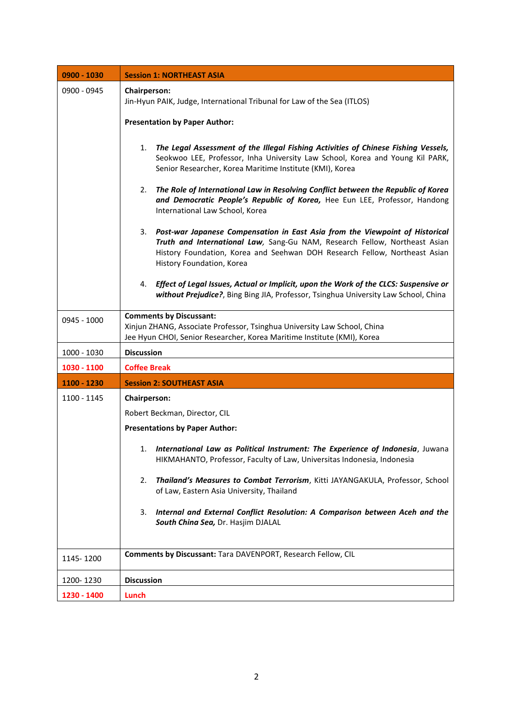| 0900 - 1030 | <b>Session 1: NORTHEAST ASIA</b>                                                                                                                                                                                                                                            |
|-------------|-----------------------------------------------------------------------------------------------------------------------------------------------------------------------------------------------------------------------------------------------------------------------------|
| 0900 - 0945 | Chairperson:<br>Jin-Hyun PAIK, Judge, International Tribunal for Law of the Sea (ITLOS)                                                                                                                                                                                     |
|             | <b>Presentation by Paper Author:</b>                                                                                                                                                                                                                                        |
|             | The Legal Assessment of the Illegal Fishing Activities of Chinese Fishing Vessels,<br>1.<br>Seokwoo LEE, Professor, Inha University Law School, Korea and Young Kil PARK,<br>Senior Researcher, Korea Maritime Institute (KMI), Korea                                       |
|             | The Role of International Law in Resolving Conflict between the Republic of Korea<br>2.<br>and Democratic People's Republic of Korea, Hee Eun LEE, Professor, Handong<br>International Law School, Korea                                                                    |
|             | Post-war Japanese Compensation in East Asia from the Viewpoint of Historical<br>3.<br>Truth and International Law, Sang-Gu NAM, Research Fellow, Northeast Asian<br>History Foundation, Korea and Seehwan DOH Research Fellow, Northeast Asian<br>History Foundation, Korea |
|             | 4. Effect of Legal Issues, Actual or Implicit, upon the Work of the CLCS: Suspensive or<br>without Prejudice?, Bing Bing JIA, Professor, Tsinghua University Law School, China                                                                                              |
| 0945 - 1000 | <b>Comments by Discussant:</b><br>Xinjun ZHANG, Associate Professor, Tsinghua University Law School, China<br>Jee Hyun CHOI, Senior Researcher, Korea Maritime Institute (KMI), Korea                                                                                       |
| 1000 - 1030 | <b>Discussion</b>                                                                                                                                                                                                                                                           |
| 1030 - 1100 | <b>Coffee Break</b>                                                                                                                                                                                                                                                         |
| 1100 - 1230 | <b>Session 2: SOUTHEAST ASIA</b>                                                                                                                                                                                                                                            |
| 1100 - 1145 | <b>Chairperson:</b>                                                                                                                                                                                                                                                         |
|             | Robert Beckman, Director, CIL                                                                                                                                                                                                                                               |
|             | <b>Presentations by Paper Author:</b>                                                                                                                                                                                                                                       |
|             | International Law as Political Instrument: The Experience of Indonesia, Juwana<br>1.<br>HIKMAHANTO, Professor, Faculty of Law, Universitas Indonesia, Indonesia                                                                                                             |
|             | Thailand's Measures to Combat Terrorism, Kitti JAYANGAKULA, Professor, School<br>2.<br>of Law, Eastern Asia University, Thailand                                                                                                                                            |
|             | Internal and External Conflict Resolution: A Comparison between Aceh and the<br>3.<br>South China Sea, Dr. Hasjim DJALAL                                                                                                                                                    |
| 1145-1200   | Comments by Discussant: Tara DAVENPORT, Research Fellow, CIL                                                                                                                                                                                                                |
| 1200-1230   | <b>Discussion</b>                                                                                                                                                                                                                                                           |
| 1230 - 1400 | Lunch                                                                                                                                                                                                                                                                       |